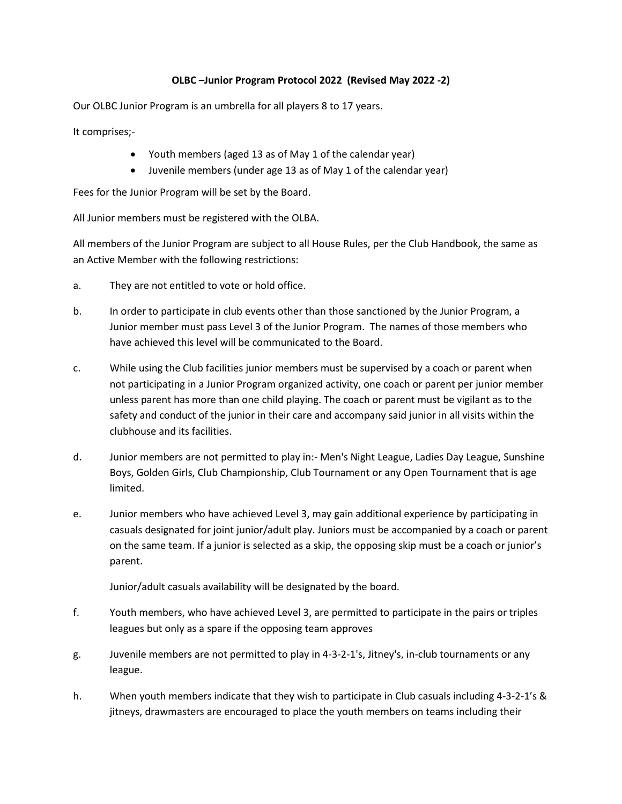## **OLBC –Junior Program Protocol 2022 (Revised May 2022 -2)**

Our OLBC Junior Program is an umbrella for all players 8 to 17 years.

It comprises;-

- Youth members (aged 13 as of May 1 of the calendar year)
- Juvenile members (under age 13 as of May 1 of the calendar year)

Fees for the Junior Program will be set by the Board.

All Junior members must be registered with the OLBA.

All members of the Junior Program are subject to all House Rules, per the Club Handbook, the same as an Active Member with the following restrictions:

- a. They are not entitled to vote or hold office.
- b. In order to participate in club events other than those sanctioned by the Junior Program, a Junior member must pass Level 3 of the Junior Program. The names of those members who have achieved this level will be communicated to the Board.
- c. While using the Club facilities junior members must be supervised by a coach or parent when not participating in a Junior Program organized activity, one coach or parent per junior member unless parent has more than one child playing. The coach or parent must be vigilant as to the safety and conduct of the junior in their care and accompany said junior in all visits within the clubhouse and its facilities.
- d. Junior members are not permitted to play in:- Men's Night League, Ladies Day League, Sunshine Boys, Golden Girls, Club Championship, Club Tournament or any Open Tournament that is age limited.
- e. Junior members who have achieved Level 3, may gain additional experience by participating in casuals designated for joint junior/adult play. Juniors must be accompanied by a coach or parent on the same team. If a junior is selected as a skip, the opposing skip must be a coach or junior's parent.

Junior/adult casuals availability will be designated by the board.

- f. Youth members, who have achieved Level 3, are permitted to participate in the pairs or triples leagues but only as a spare if the opposing team approves
- g. Juvenile members are not permitted to play in 4-3-2-1's, Jitney's, in-club tournaments or any league.
- h. When youth members indicate that they wish to participate in Club casuals including 4-3-2-1's & jitneys, drawmasters are encouraged to place the youth members on teams including their